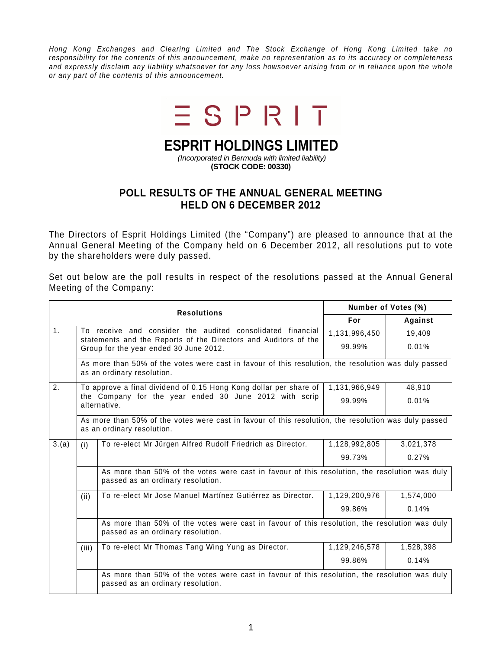Hong Kong Exchanges and Clearing Limited and The Stock Exchange of Hong Kong Limited take no responsibility for the contents of this announcement, make no representation as to its accuracy or completeness and expressly disclaim any liability whatsoever for any loss howsoever arising from or in reliance upon the whole or any part of the contents of this announcement.



## **ESPRIT HOLDINGS LIMITED**

 (Incorporated in Bermuda with limited liability) **(STOCK CODE: 00330)** 

## **POLL RESULTS OF THE ANNUAL GENERAL MEETING HELD ON 6 DECEMBER 2012**

The Directors of Esprit Holdings Limited (the "Company") are pleased to announce that at the Annual General Meeting of the Company held on 6 December 2012, all resolutions put to vote by the shareholders were duly passed.

Set out below are the poll results in respect of the resolutions passed at the Annual General Meeting of the Company:

|                | <b>Resolutions</b>                                                                                                                                                      |                                                                                                                                    | Number of Votes (%) |           |  |  |
|----------------|-------------------------------------------------------------------------------------------------------------------------------------------------------------------------|------------------------------------------------------------------------------------------------------------------------------------|---------------------|-----------|--|--|
|                |                                                                                                                                                                         |                                                                                                                                    | For                 | Against   |  |  |
| 1 <sub>1</sub> | To receive and consider the audited consolidated financial<br>statements and the Reports of the Directors and Auditors of the<br>Group for the year ended 30 June 2012. |                                                                                                                                    | 1,131,996,450       | 19,409    |  |  |
|                |                                                                                                                                                                         |                                                                                                                                    | 99.99%              | 0.01%     |  |  |
|                | As more than 50% of the votes were cast in favour of this resolution, the resolution was duly passed<br>as an ordinary resolution.                                      |                                                                                                                                    |                     |           |  |  |
| 2.             |                                                                                                                                                                         | To approve a final dividend of 0.15 Hong Kong dollar per share of                                                                  | 1,131,966,949       | 48,910    |  |  |
|                | the Company for the year ended 30 June 2012 with scrip<br>alternative.                                                                                                  |                                                                                                                                    | 99.99%              | 0.01%     |  |  |
|                | As more than 50% of the votes were cast in favour of this resolution, the resolution was duly passed<br>as an ordinary resolution.                                      |                                                                                                                                    |                     |           |  |  |
| 3.(a)          | (i)                                                                                                                                                                     | To re-elect Mr Jürgen Alfred Rudolf Friedrich as Director.                                                                         | 1,128,992,805       | 3,021,378 |  |  |
|                |                                                                                                                                                                         |                                                                                                                                    | 99.73%              | 0.27%     |  |  |
|                |                                                                                                                                                                         | As more than 50% of the votes were cast in favour of this resolution, the resolution was duly<br>passed as an ordinary resolution. |                     |           |  |  |
|                | (ii)                                                                                                                                                                    | To re-elect Mr Jose Manuel Martínez Gutiérrez as Director.                                                                         | 1,129,200,976       | 1,574,000 |  |  |
|                |                                                                                                                                                                         |                                                                                                                                    | 99.86%              | 0.14%     |  |  |
|                |                                                                                                                                                                         | As more than 50% of the votes were cast in favour of this resolution, the resolution was duly<br>passed as an ordinary resolution. |                     |           |  |  |
|                | (iii)                                                                                                                                                                   | To re-elect Mr Thomas Tang Wing Yung as Director.                                                                                  | 1,129,246,578       | 1,528,398 |  |  |
|                |                                                                                                                                                                         |                                                                                                                                    | 99.86%              | 0.14%     |  |  |
|                |                                                                                                                                                                         | As more than 50% of the votes were cast in favour of this resolution, the resolution was duly<br>passed as an ordinary resolution. |                     |           |  |  |